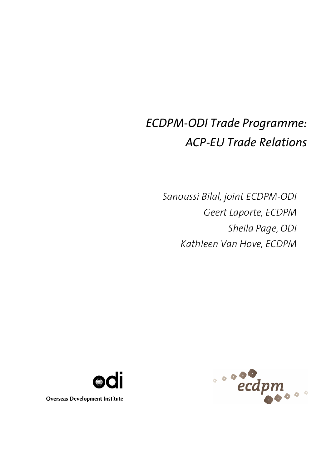# *ECDPM-ODI Trade Programme: ACP-EU Trade Relations*

*Sanoussi Bilal, joint ECDPM-ODI Geert Laporte, ECDPM Sheila Page, ODI Kathleen Van Hove, ECDPM*





**Overseas Development Institute**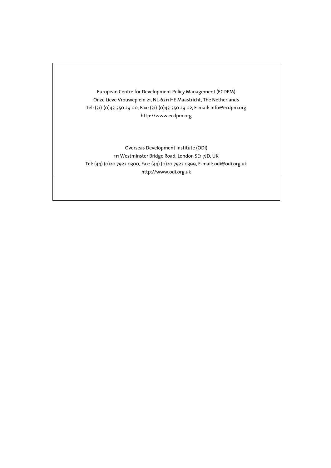European Centre for Development Policy Management (ECDPM) Onze Lieve Vrouweplein 21, NL-6211 HE Maastricht, The Netherlands Tel: (31)-(0)43-350 29 00, Fax: (31)-(0)43-350 29 02, E-mail: info@ecdpm.org [http://www.ecdpm.org](http://www.ecdpm.org/)

Overseas Development Institute (ODI) 111 Westminster Bridge Road, London SE1 7JD, UK Tel: (44) (0)20 7922 0300, Fax: (44) (0)20 7922 0399, E-mail: odi@odi.org.uk http://www.odi.org.uk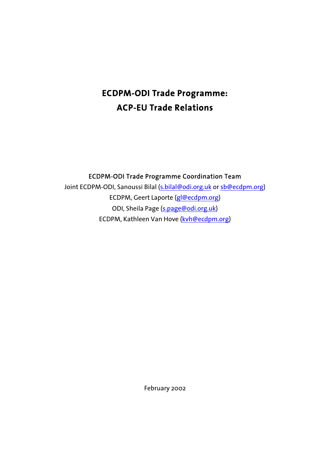## **ECDPM-ODI Trade Programme: ACP-EU Trade Relations**

ECDPM-ODI Trade Programme Coordination Team

Joint ECDPM-ODI, Sanoussi Bilal ([s.bilal@odi.org.uk](mailto:s.bilal@odi.org.uk) or [sb@ecdpm.org\)](mailto:sb@ecdpm.org) ECDPM, Geert Laporte [\(gl@ecdpm.org\)](mailto:gl@ecdpm.org) [OD](mailto:kvh@ecdpm.org)I, Sheila Page [\(s.page@odi.org.uk\)](mailto:s.page@odi.org.uk) ECDPM, Kathleen Van Hove [\(kvh@ecdpm.org\)](mailto:kvh@ecdpm.org)

February 2002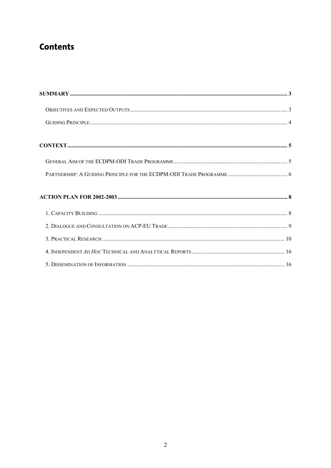### **Contents**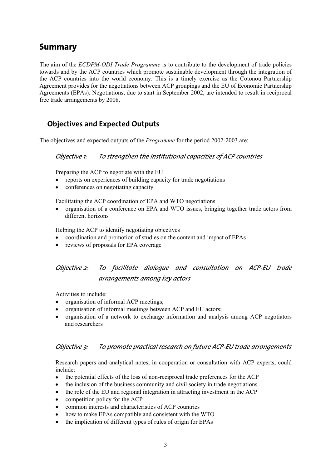### <span id="page-4-0"></span>**Summary**

The aim of the *ECDPM-ODI Trade Programme* is to contribute to the development of trade policies towards and by the ACP countries which promote sustainable development through the integration of the ACP countries into the world economy. This is a timely exercise as the Cotonou Partnership Agreement provides for the negotiations between ACP groupings and the EU of Economic Partnership Agreements (EPAs). Negotiations, due to start in September 2002, are intended to result in reciprocal free trade arrangements by 2008.

### <span id="page-4-1"></span>**Objectives and Expected Outputs**

The objectives and expected outputs of the *Programme* for the period 2002-2003 are:

#### *Objective 1: To strengthen the institutional capacities of ACP countries*

Preparing the ACP to negotiate with the EU

- reports on experiences of building capacity for trade negotiations
- conferences on negotiating capacity

Facilitating the ACP coordination of EPA and WTO negotiations

• organisation of a conference on EPA and WTO issues, bringing together trade actors from different horizons

Helping the ACP to identify negotiating objectives

- coordination and promotion of studies on the content and impact of EPAs
- reviews of proposals for EPA coverage

### *Objective 2: To facilitate dialogue and consultation on ACP-EU trade arrangements among key actors*

Activities to include:

- organisation of informal ACP meetings;
- organisation of informal meetings between ACP and EU actors;
- organisation of a network to exchange information and analysis among ACP negotiators and researchers

#### *Objective 3: To promote practical research on future ACP-EU trade arrangements*

Research papers and analytical notes, in cooperation or consultation with ACP experts, could include:

- the potential effects of the loss of non-reciprocal trade preferences for the ACP
- the inclusion of the business community and civil society in trade negotiations
- the role of the EU and regional integration in attracting investment in the ACP
- competition policy for the ACP
- common interests and characteristics of ACP countries
- how to make EPAs compatible and consistent with the WTO
- the implication of different types of rules of origin for EPAs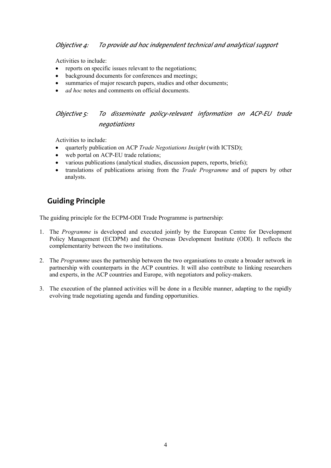Activities to include:

- reports on specific issues relevant to the negotiations;
- background documents for conferences and meetings;
- summaries of major research papers, studies and other documents;
- *ad hoc* notes and comments on official documents.

### *Objective 5: To disseminate policy-relevant information on ACP-EU trade negotiations*

Activities to include:

- quarterly publication on ACP *Trade Negotiations Insight* (with ICTSD);
- web portal on ACP-EU trade relations;
- various publications (analytical studies, discussion papers, reports, briefs);
- translations of publications arising from the *Trade Programme* and of papers by other analysts.

### <span id="page-5-0"></span>**Guiding Principle**

The guiding principle for the ECPM-ODI Trade Programme is partnership:

- 1. The *Programme* is developed and executed jointly by the European Centre for Development Policy Management (ECDPM) and the Overseas Development Institute (ODI). It reflects the complementarity between the two institutions.
- 2. The *Programme* uses the partnership between the two organisations to create a broader network in partnership with counterparts in the ACP countries. It will also contribute to linking researchers and experts, in the ACP countries and Europe, with negotiators and policy-makers.
- 3. The execution of the planned activities will be done in a flexible manner, adapting to the rapidly evolving trade negotiating agenda and funding opportunities.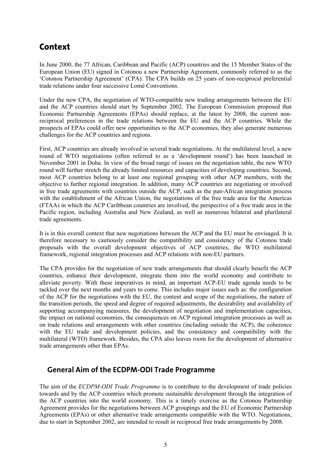### <span id="page-6-0"></span>**Context**

In June 2000, the 77 African, Caribbean and Pacific (ACP) countries and the 15 Member States of the European Union (EU) signed in Cotonou a new Partnership Agreement, commonly referred to as the 'Cotonou Partnership Agreement' (CPA). The CPA builds on 25 years of non-reciprocal preferential trade relations under four successive Lomé Conventions.

Under the new CPA, the negotiation of WTO-compatible new trading arrangements between the EU and the ACP countries should start by September 2002. The European Commission proposed that Economic Partnership Agreements (EPAs) should replace, at the latest by 2008, the current nonreciprocal preferences in the trade relations between the EU and the ACP countries. While the prospects of EPAs could offer new opportunities to the ACP economies, they also generate numerous challenges for the ACP countries and regions.

First, ACP countries are already involved in several trade negotiations. At the multilateral level, a new round of WTO negotiations (often referred to as a 'development round') has been launched in November 2001 in Doha. In view of the broad range of issues on the negotiation table, the new WTO round will further stretch the already limited resources and capacities of developing countries. Second, most ACP countries belong to at least one regional grouping with other ACP members, with the objective to further regional integration. In addition, many ACP countries are negotiating or involved in free trade agreements with countries outside the ACP, such as the pan-African integration process with the establishment of the African Union, the negotiations of the free trade area for the Americas (FTAA) in which the ACP Caribbean countries are involved, the perspective of a free trade area in the Pacific region, including Australia and New Zealand, as well as numerous bilateral and plurilateral trade agreements.

It is in this overall context that new negotiations between the ACP and the EU must be envisaged. It is therefore necessary to cautiously consider the compatibility and consistency of the Cotonou trade proposals with the overall development objectives of ACP countries, the WTO multilateral framework, regional integration processes and ACP relations with non-EU partners.

The CPA provides for the negotiation of new trade arrangements that should clearly benefit the ACP countries, enhance their development, integrate them into the world economy and contribute to alleviate poverty. With these imperatives in mind, an important ACP-EU trade agenda needs to be tackled over the next months and years to come. This includes major issues such as: the configuration of the ACP for the negotiations with the EU, the content and scope of the negotiations, the nature of the transition periods, the speed and degree of required adjustments, the desirability and availability of supporting accompanying measures, the development of negotiation and implementation capacities, the impact on national economies, the consequences on ACP regional integration processes as well as on trade relations and arrangements with other countries (including outside the ACP), the coherence with the EU trade and development policies, and the consistency and compatibility with the multilateral (WTO) framework. Besides, the CPA also leaves room for the development of alternative trade arrangements other than EPAs.

### <span id="page-6-1"></span>**General Aim of the ECDPM-ODI Trade Programme**

The aim of the *ECDPM-ODI Trade Programme* is to contribute to the development of trade policies towards and by the ACP countries which promote sustainable development through the integration of the ACP countries into the world economy. This is a timely exercise as the Cotonou Partnership Agreement provides for the negotiations between ACP groupings and the EU of Economic Partnership Agreements (EPAs) or other alternative trade arrangements compatible with the WTO. Negotiations, due to start in September 2002, are intended to result in reciprocal free trade arrangements by 2008.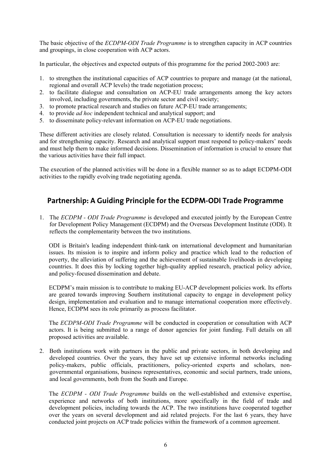The basic objective of the *ECDPM-ODI Trade Programme* is to strengthen capacity in ACP countries and groupings, in close cooperation with ACP actors.

In particular, the objectives and expected outputs of this programme for the period 2002-2003 are:

- 1. to strengthen the institutional capacities of ACP countries to prepare and manage (at the national, regional and overall ACP levels) the trade negotiation process;
- 2. to facilitate dialogue and consultation on ACP-EU trade arrangements among the key actors involved, including governments, the private sector and civil society;
- 3. to promote practical research and studies on future ACP-EU trade arrangements;
- 4. to provide *ad hoc* independent technical and analytical support; and
- 5. to disseminate policy-relevant information on ACP-EU trade negotiations.

These different activities are closely related. Consultation is necessary to identify needs for analysis and for strengthening capacity. Research and analytical support must respond to policy-makers' needs and must help them to make informed decisions. Dissemination of information is crucial to ensure that the various activities have their full impact.

The execution of the planned activities will be done in a flexible manner so as to adapt ECDPM-ODI activities to the rapidly evolving trade negotiating agenda.

### <span id="page-7-0"></span>**Partnership: A Guiding Principle for the ECDPM-ODI Trade Programme**

1. The *ECDPM - ODI Trade Programme* is developed and executed jointly by the European Centre for Development Policy Management (ECDPM) and the Overseas Development Institute (ODI). It reflects the complementarity between the two institutions.

ODI is Britain's leading independent think-tank on international development and humanitarian issues. Its mission is to inspire and inform policy and practice which lead to the reduction of poverty, the alleviation of suffering and the achievement of sustainable livelihoods in developing countries. It does this by locking together high-quality applied research, practical policy advice, and policy-focused dissemination and debate.

ECDPM's main mission is to contribute to making EU-ACP development policies work. Its efforts are geared towards improving Southern institutional capacity to engage in development policy design, implementation and evaluation and to manage international cooperation more effectively. Hence, ECDPM sees its role primarily as process facilitator.

The *ECDPM-ODI Trade Programme* will be conducted in cooperation or consultation with ACP actors. It is being submitted to a range of donor agencies for joint funding. Full details on all proposed activities are available.

2. Both institutions work with partners in the public and private sectors, in both developing and developed countries. Over the years, they have set up extensive informal networks including policy-makers, public officials, practitioners, policy-oriented experts and scholars, nongovernmental organisations, business representatives, economic and social partners, trade unions, and local governments, both from the South and Europe.

The *ECDPM - ODI Trade Programme* builds on the well-established and extensive expertise, experience and networks of both institutions, more specifically in the field of trade and development policies, including towards the ACP. The two institutions have cooperated together over the years on several development and aid related projects. For the last 6 years, they have conducted joint projects on ACP trade policies within the framework of a common agreement.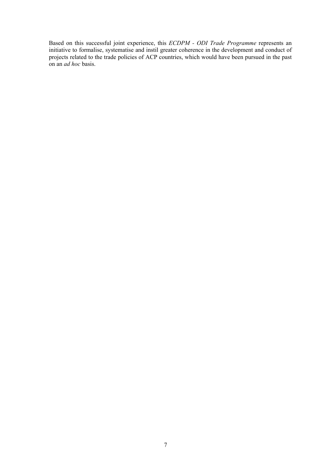Based on this successful joint experience, this *ECDPM - ODI Trade Programme* represents an initiative to formalise, systematise and instil greater coherence in the development and conduct of projects related to the trade policies of ACP countries, which would have been pursued in the past on an *ad hoc* basis.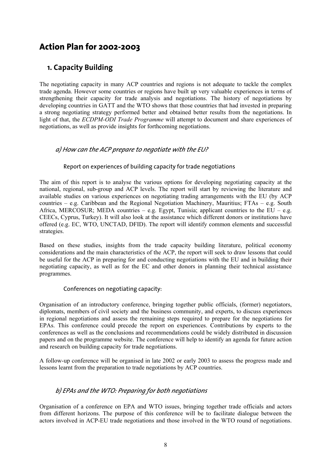### <span id="page-9-0"></span>**Action Plan for 2002-2003**

### <span id="page-9-1"></span>**1. Capacity Building**

The negotiating capacity in many ACP countries and regions is not adequate to tackle the complex trade agenda. However some countries or regions have built up very valuable experiences in terms of strengthening their capacity for trade analysis and negotiations. The history of negotiations by developing countries in GATT and the WTO shows that those countries that had invested in preparing a strong negotiating strategy performed better and obtained better results from the negotiations. In light of that, the *ECDPM-ODI Trade Programme* will attempt to document and share experiences of negotiations, as well as provide insights for forthcoming negotiations.

#### *a) How can the ACP prepare to negotiate with the EU?*

#### Report on experiences of building capacity for trade negotiations

The aim of this report is to analyse the various options for developing negotiating capacity at the national, regional, sub-group and ACP levels. The report will start by reviewing the literature and available studies on various experiences on negotiating trading arrangements with the EU (by ACP countries – e.g. Caribbean and the Regional Negotiation Machinery, Mauritius; FTAs – e.g. South Africa, MERCOSUR; MEDA countries – e.g. Egypt. Tunisia; applicant countries to the EU – e.g. CEECs, Cyprus, Turkey). It will also look at the assistance which different donors or institutions have offered (e.g. EC, WTO, UNCTAD, DFID). The report will identify common elements and successful strategies.

Based on these studies, insights from the trade capacity building literature, political economy considerations and the main characteristics of the ACP, the report will seek to draw lessons that could be useful for the ACP in preparing for and conducting negotiations with the EU and in building their negotiating capacity, as well as for the EC and other donors in planning their technical assistance programmes.

#### Conferences on negotiating capacity:

Organisation of an introductory conference, bringing together public officials, (former) negotiators, diplomats, members of civil society and the business community, and experts, to discuss experiences in regional negotiations and assess the remaining steps required to prepare for the negotiations for EPAs. This conference could precede the report on experiences. Contributions by experts to the conferences as well as the conclusions and recommendations could be widely distributed in discussion papers and on the programme website. The conference will help to identify an agenda for future action and research on building capacity for trade negotiations.

A follow-up conference will be organised in late 2002 or early 2003 to assess the progress made and lessons learnt from the preparation to trade negotiations by ACP countries.

#### *b) EPAs and the WTO: Preparing for both negotiations*

Organisation of a conference on EPA and WTO issues, bringing together trade officials and actors from different horizons. The purpose of this conference will be to facilitate dialogue between the actors involved in ACP-EU trade negotiations and those involved in the WTO round of negotiations.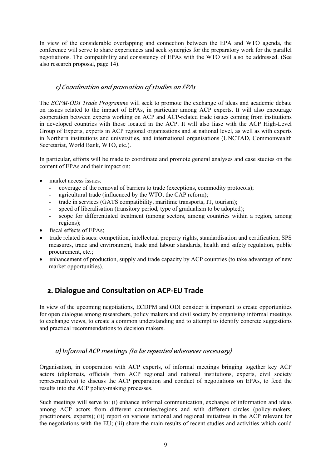In view of the considerable overlapping and connection between the EPA and WTO agenda, the conference will serve to share experiences and seek synergies for the preparatory work for the parallel negotiations. The compatibility and consistency of EPAs with the WTO will also be addressed. (See also research proposal, page 14).

#### *c) Coordination and promotion of studies on EPAs*

The *ECPM-ODI Trade Programme* will seek to promote the exchange of ideas and academic debate on issues related to the impact of EPAs, in particular among ACP experts. It will also encourage cooperation between experts working on ACP and ACP-related trade issues coming from institutions in developed countries with those located in the ACP. It will also liase with the ACP High-Level Group of Experts, experts in ACP regional organisations and at national level, as well as with experts in Northern institutions and universities, and international organisations (UNCTAD, Commonwealth Secretariat, World Bank, WTO, etc.).

In particular, efforts will be made to coordinate and promote general analyses and case studies on the content of EPAs and their impact on:

- market access issues:
	- coverage of the removal of barriers to trade (exceptions, commodity protocols);
	- agricultural trade (influenced by the WTO, the CAP reform);
	- trade in services (GATS compatibility, maritime transports, IT, tourism);
	- speed of liberalisation (transitory period, type of gradualism to be adopted);
	- scope for differentiated treatment (among sectors, among countries within a region, among regions);
- fiscal effects of EPAs;
- trade related issues: competition, intellectual property rights, standardisation and certification, SPS measures, trade and environment, trade and labour standards, health and safety regulation, public procurement, etc.;
- enhancement of production, supply and trade capacity by ACP countries (to take advantage of new market opportunities).

### <span id="page-10-0"></span>**2. Dialogue and Consultation on ACP-EU Trade**

In view of the upcoming negotiations, ECDPM and ODI consider it important to create opportunities for open dialogue among researchers, policy makers and civil society by organising informal meetings to exchange views, to create a common understanding and to attempt to identify concrete suggestions and practical recommendations to decision makers.

#### *a) Informal ACP meetings (to be repeated whenever necessary)*

Organisation, in cooperation with ACP experts, of informal meetings bringing together key ACP actors (diplomats, officials from ACP regional and national institutions, experts, civil society representatives) to discuss the ACP preparation and conduct of negotiations on EPAs, to feed the results into the ACP policy-making processes.

Such meetings will serve to: (i) enhance informal communication, exchange of information and ideas among ACP actors from different countries/regions and with different circles (policy-makers, practitioners, experts); (ii) report on various national and regional initiatives in the ACP relevant for the negotiations with the EU; (iii) share the main results of recent studies and activities which could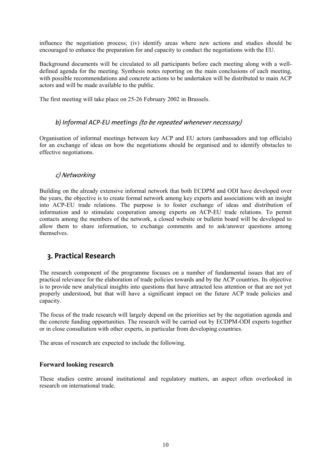influence the negotiation process; (iv) identify areas where new actions and studies should be encouraged to enhance the preparation for and capacity to conduct the negotiations with the EU.

Background documents will be circulated to all participants before each meeting along with a welldefined agenda for the meeting. Synthesis notes reporting on the main conclusions of each meeting, with possible recommendations and concrete actions to be undertaken will be distributed to main ACP actors and will be made available to the public.

The first meeting will take place on 25-26 February 2002 in Brussels.

#### *b) Informal ACP-EU meetings (to be repeated whenever necessary)*

Organisation of informal meetings between key ACP and EU actors (ambassadors and top officials) for an exchange of ideas on how the negotiations should be organised and to identify obstacles to effective negotiations.

#### *c) Networking*

Building on the already extensive informal network that both ECDPM and ODI have developed over the years, the objective is to create formal network among key experts and associations with an insight into ACP-EU trade relations. The purpose is to foster exchange of ideas and distribution of information and to stimulate cooperation among experts on ACP-EU trade relations. To permit contacts among the members of the network, a closed website or bulletin board will be developed to allow them to share information, to exchange comments and to ask/answer questions among themselves.

#### <span id="page-11-0"></span>**3. Practical Research**

The research component of the programme focuses on a number of fundamental issues that are of practical relevance for the elaboration of trade policies towards and by the ACP countries. Its objective is to provide new analytical insights into questions that have attracted less attention or that are not yet properly understood, but that will have a significant impact on the future ACP trade policies and capacity.

The focus of the trade research will largely depend on the priorities set by the negotiation agenda and the concrete funding opportunities. The research will be carried out by ECDPM-ODI experts together or in close consultation with other experts, in particular from developing countries.

The areas of research are expected to include the following.

#### **Forward looking research**

These studies centre around institutional and regulatory matters, an aspect often overlooked in research on international trade.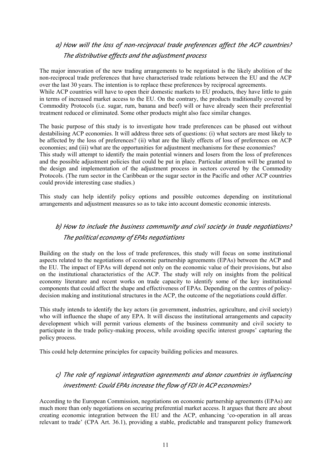### *a) How will the loss of non-reciprocal trade preferences affect the ACP countries? The distributive effects and the adjustment process*

The major innovation of the new trading arrangements to be negotiated is the likely abolition of the non-reciprocal trade preferences that have characterised trade relations between the EU and the ACP over the last 30 years. The intention is to replace these preferences by reciprocal agreements. While ACP countries will have to open their domestic markets to EU products, they have little to gain in terms of increased market access to the EU. On the contrary, the products traditionally covered by

Commodity Protocols (i.e. sugar, rum, banana and beef) will or have already seen their preferential treatment reduced or eliminated. Some other products might also face similar changes.

The basic purpose of this study is to investigate how trade preferences can be phased out without destabilising ACP economies. It will address three sets of questions: (i) what sectors are most likely to be affected by the loss of preferences? (ii) what are the likely effects of loss of preferences on ACP economies; and (iii) what are the opportunities for adjustment mechanisms for these economies?

This study will attempt to identify the main potential winners and losers from the loss of preferences and the possible adjustment policies that could be put in place. Particular attention will be granted to the design and implementation of the adjustment process in sectors covered by the Commodity Protocols. (The rum sector in the Caribbean or the sugar sector in the Pacific and other ACP countries could provide interesting case studies.)

This study can help identify policy options and possible outcomes depending on institutional arrangements and adjustment measures so as to take into account domestic economic interests.

### *b) How to include the business community and civil society in trade negotiations? The political economy of EPAs negotiations*

Building on the study on the loss of trade preferences, this study will focus on some institutional aspects related to the negotiations of economic partnership agreements (EPAs) between the ACP and the EU. The impact of EPAs will depend not only on the economic value of their provisions, but also on the institutional characteristics of the ACP. The study will rely on insights from the political economy literature and recent works on trade capacity to identify some of the key institutional components that could affect the shape and effectiveness of EPAs. Depending on the centres of policydecision making and institutional structures in the ACP, the outcome of the negotiations could differ.

This study intends to identify the key actors (in government, industries, agriculture, and civil society) who will influence the shape of any EPA. It will discuss the institutional arrangements and capacity development which will permit various elements of the business community and civil society to participate in the trade policy-making process, while avoiding specific interest groups' capturing the policy process.

This could help determine principles for capacity building policies and measures.

### *c) The role of regional integration agreements and donor countries in influencing investment: Could EPAs increase the flow of FDI in ACP economies?*

According to the European Commission, negotiations on economic partnership agreements (EPAs) are much more than only negotiations on securing preferential market access. It argues that there are about creating economic integration between the EU and the ACP, enhancing 'co-operation in all areas relevant to trade' (CPA Art. 36.1), providing a stable, predictable and transparent policy framework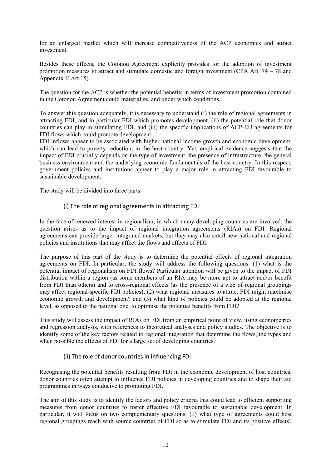for an enlarged market which will increase competitiveness of the ACP economies and attract investment.

Besides these effects, the Cotonou Agreement explicitly provides for the adoption of investment promotion measures to attract and stimulate domestic and foreign investment (CPA Art. 74 – 78 and Appendix II Art.15).

The question for the ACP is whether the potential benefits in terms of investment promotion contained in the Cotonou Agreement could materialise, and under which conditions.

To answer this question adequately, it is necessary to understand (i) the role of regional agreements in attracting FDI, and in particular FDI which promotes development, (ii) the potential role that donor countries can play in stimulating FDI, and (iii) the specific implications of ACP-EU agreements for FDI flows which could promote development.

FDI inflows appear to be associated with higher national income growth and economic development, which can lead to poverty reduction, in the host country. Yet, empirical evidence suggests that the impact of FDI crucially depends on the type of investment, the presence of infrastructure, the general business environment and the underlying economic fundamentals of the host country. In this respect, government policies and institutions appear to play a major role in attracting FDI favourable to sustainable development.

The study will be divided into three parts.

#### (i) The role of regional agreements in attracting FDI

In the face of renewed interest in regionalism, in which many developing countries are involved, the question arises as to the impact of regional integration agreements (RIAs) on FDI. Regional agreements can provide larger integrated markets, but they may also entail new national and regional policies and institutions that may affect the flows and effects of FDI.

The purpose of this part of the study is to determine the potential effects of regional integration agreements on FDI. In particular, the study will address the following questions: (1) what is the potential impact of regionalism on FDI flows? Particular attention will be given to the impact of FDI distribution within a region (as some members of an RIA may be more apt to attract and/or benefit from FDI than others) and to cross-regional effects (as the presence of a web of regional groupings may affect regional-specific FDI policies); (2) what regional measures to attract FDI might maximise economic growth and development? and (3) what kind of policies could be adopted at the regional level, as opposed to the national one, to optimise the potential benefits from FDI?

This study will assess the impact of RIAs on FDI from an empirical point of view, using econometrics and regression analysis, with references to theoretical analyses and policy studies. The objective is to identify some of the key factors related to regional integration that determine the flows, the types and when possible the effects of FDI for a large set of developing countries.

#### (ii) The role of donor countries in influencing FDI

Recognising the potential benefits resulting from FDI in the economic development of host countries, donor countries often attempt to influence FDI policies in developing countries and to shape their aid programmes in ways conducive to promoting FDI.

The aim of this study is to identify the factors and policy criteria that could lead to efficient supporting measures from donor countries to foster effective FDI favourable to sustainable development. In particular, it will focus on two complementary questions: (1) what type of agreements could host regional groupings reach with source countries of FDI so as to stimulate FDI and its positive effects?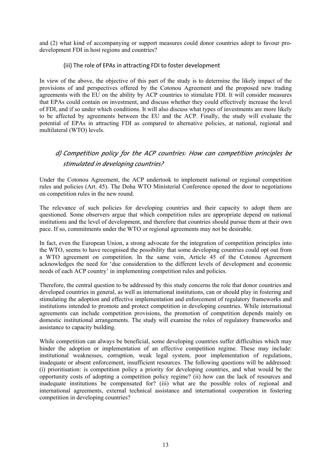and (2) what kind of accompanying or support measures could donor countries adopt to favour prodevelopment FDI in host regions and countries?

#### (iii) The role of EPAs in attracting FDI to foster development

In view of the above, the objective of this part of the study is to determine the likely impact of the provisions of and perspectives offered by the Cotonou Agreement and the proposed new trading agreements with the EU on the ability by ACP countries to stimulate FDI. It will consider measures that EPAs could contain on investment, and discuss whether they could effectively increase the level of FDI, and if so under which conditions. It will also discuss what types of investments are more likely to be affected by agreements between the EU and the ACP. Finally, the study will evaluate the potential of EPAs in attracting FDI as compared to alternative policies, at national, regional and multilateral (WTO) levels.

### *d) Competition policy for the ACP countries: How can competition principles be stimulated in developing countries?*

Under the Cotonou Agreement, the ACP undertook to implement national or regional competition rules and policies (Art. 45). The Doha WTO Ministerial Conference opened the door to negotiations on competition rules in the new round.

The relevance of such policies for developing countries and their capacity to adopt them are questioned. Some observers argue that which competition rules are appropriate depend on national institutions and the level of development, and therefore that countries should pursue them at their own pace. If so, commitments under the WTO or regional agreements may not be desirable.

In fact, even the European Union, a strong advocate for the integration of competition principles into the WTO, seems to have recognised the possibility that some developing countries could opt out from a WTO agreement on competition. In the same vein, Article 45 of the Cotonou Agreement acknowledges the need for 'due consideration to the different levels of development and economic needs of each ACP country' in implementing competition rules and policies.

Therefore, the central question to be addressed by this study concerns the role that donor countries and developed countries in general, as well as international institutions, can or should play in fostering and stimulating the adoption and effective implementation and enforcement of regulatory frameworks and institutions intended to promote and protect competition in developing countries. While international agreements can include competition provisions, the promotion of competition depends mainly on domestic institutional arrangements. The study will examine the roles of regulatory frameworks and assistance to capacity building.

While competition can always be beneficial, some developing countries suffer difficulties which may hinder the adoption or implementation of an effective competition regime. These may include: institutional weaknesses, corruption, weak legal system, poor implementation of regulations, inadequate or absent enforcement, insufficient resources. The following questions will be addressed: (i) prioritisation: is competition policy a priority for developing countries, and what would be the opportunity costs of adopting a competition policy regime? (ii) how can the lack of resources and inadequate institutions be compensated for? (iii) what are the possible roles of regional and international agreements, external technical assistance and international cooperation in fostering competition in developing countries?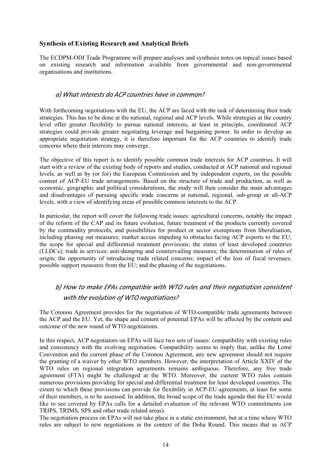#### **Synthesis of Existing Research and Analytical Briefs**

The ECDPM-ODI Trade Programme will prepare analyses and synthesis notes on topical issues based on existing research and information available from governmental and non-governmental organisations and institutions.

#### *a) What interests do ACP countries have in common?*

With forthcoming negotiations with the EU, the ACP are faced with the task of determining their trade strategies. This has to be done at the national, regional and ACP levels. While strategies at the country level offer greater flexibility to pursue national interests, at least in principle, coordinated ACP strategies could provide greater negotiating leverage and bargaining power. In order to develop an appropriate negotiation strategy, it is therefore important for the ACP countries to identify trade concerns where their interests may converge.

The objective of this report is to identify possible common trade interests for ACP countries. It will start with a review of the existing body of reports and studies, conducted at ACP national and regional levels, as well as by (or for) the European Commission and by independent experts, on the possible content of ACP-EU trade arrangements. Based on the structure of trade and production, as well as economic, geographic and political considerations, the study will then consider the main advantages and disadvantages of pursuing specific trade concerns at national, regional, sub-group or all-ACP levels, with a view of identifying areas of possible common interests to the ACP.

In particular, the report will cover the following trade issues: agricultural concerns, notably the impact of the reform of the CAP and its future evolution, future treatment of the products currently covered by the commodity protocols, and possibilities for product or sector exemptions from liberalisation, including phasing out measures; market access impeding to obstacles facing ACP exports to the EU; the scope for special and differential treatment provisions; the status of least developed countries (LLDCs); trade in services; anti-dumping and countervailing measures; the determination of rules of origin; the opportunity of introducing trade related concerns; impact of the loss of fiscal revenues; possible support measures from the EU; and the phasing of the negotiations.

### *b) How to make EPAs compatible with WTO rules and their negotiation consistent with the evolution of WTO negotiations?*

The Cotonou Agreement provides for the negotiation of WTO-compatible trade agreements between the ACP and the EU. Yet, the shape and content of potential EPAs will be affected by the content and outcome of the new round of WTO negotiations.

In this respect, ACP negotiators on EPAs will face two sets of issues: compatibility with existing rules and consistency with the evolving negotiation. Compatibility seems to imply that, unlike the Lomé Convention and the current phase of the Cotonou Agreement, any new agreement should not require the granting of a waiver by other WTO members. However, the interpretation of Article XXIV of the WTO rules on regional integration agreements remains ambiguous. Therefore, any free trade agreement (FTA) might be challenged at the WTO. Moreover, the current WTO rules contain numerous provisions providing for special and differential treatment for least developed countries. The extent to which these provisions can provide for flexibility in ACP-EU agreements, at least for some of their members, is to be assessed. In addition, the broad scope of the trade agenda that the EU would like to see covered by EPAs calls for a detailed evaluation of the relevant WTO commitments (on TRIPS, TRIMS, SPS and other trade related areas).

The negotiation process on EPAs will not take place in a static environment, but at a time where WTO rules are subject to new negotiations in the context of the Doha Round. This means that as ACP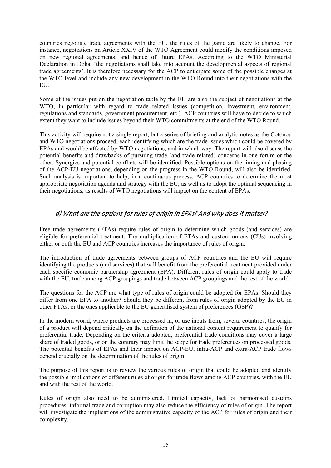countries negotiate trade agreements with the EU, the rules of the game are likely to change. For instance, negotiations on Article XXIV of the WTO Agreement could modify the conditions imposed on new regional agreements, and hence of future EPAs. According to the WTO Ministerial Declaration in Doha, 'the negotiations shall take into account the developmental aspects of regional trade agreements'. It is therefore necessary for the ACP to anticipate some of the possible changes at the WTO level and include any new development in the WTO Round into their negotiations with the **EU** 

Some of the issues put on the negotiation table by the EU are also the subject of negotiations at the WTO, in particular with regard to trade related issues (competition, investment, environment, regulations and standards, government procurement, etc.). ACP countries will have to decide to which extent they want to include issues beyond their WTO commitments at the end of the WTO Round.

This activity will require not a single report, but a series of briefing and analytic notes as the Cotonou and WTO negotiations proceed, each identifying which are the trade issues which could be covered by EPAs and would be affected by WTO negotiations, and in which way. The report will also discuss the potential benefits and drawbacks of pursuing trade (and trade related) concerns in one forum or the other. Synergies and potential conflicts will be identified. Possible options on the timing and phasing of the ACP-EU negotiations, depending on the progress in the WTO Round, will also be identified. Such analysis is important to help, in a continuous process, ACP countries to determine the most appropriate negotiation agenda and strategy with the EU, as well as to adopt the optimal sequencing in their negotiations, as results of WTO negotiations will impact on the content of EPAs.

#### *d) What are the options for rules of origin in EPAs? And why does it matter?*

Free trade agreements (FTAs) require rules of origin to determine which goods (and services) are eligible for preferential treatment. The multiplication of FTAs and custom unions (CUs) involving either or both the EU and ACP countries increases the importance of rules of origin.

The introduction of trade agreements between groups of ACP countries and the EU will require identifying the products (and services) that will benefit from the preferential treatment provided under each specific economic partnership agreement (EPA). Different rules of origin could apply to trade with the EU, trade among ACP groupings and trade between ACP groupings and the rest of the world.

The questions for the ACP are what type of rules of origin could be adopted for EPAs. Should they differ from one EPA to another? Should they be different from rules of origin adopted by the EU in other FTAs, or the ones applicable to the EU generalised system of preferences (GSP)?

In the modern world, where products are processed in, or use inputs from, several countries, the origin of a product will depend critically on the definition of the national content requirement to qualify for preferential trade. Depending on the criteria adopted, preferential trade conditions may cover a large share of traded goods, or on the contrary may limit the scope for trade preferences on processed goods. The potential benefits of EPAs and their impact on ACP-EU, intra-ACP and extra-ACP trade flows depend crucially on the determination of the rules of origin.

The purpose of this report is to review the various rules of origin that could be adopted and identify the possible implications of different rules of origin for trade flows among ACP countries, with the EU and with the rest of the world.

Rules of origin also need to be administered. Limited capacity, lack of harmonised customs procedures, informal trade and corruption may also reduce the efficiency of rules of origin. The report will investigate the implications of the administrative capacity of the ACP for rules of origin and their complexity.